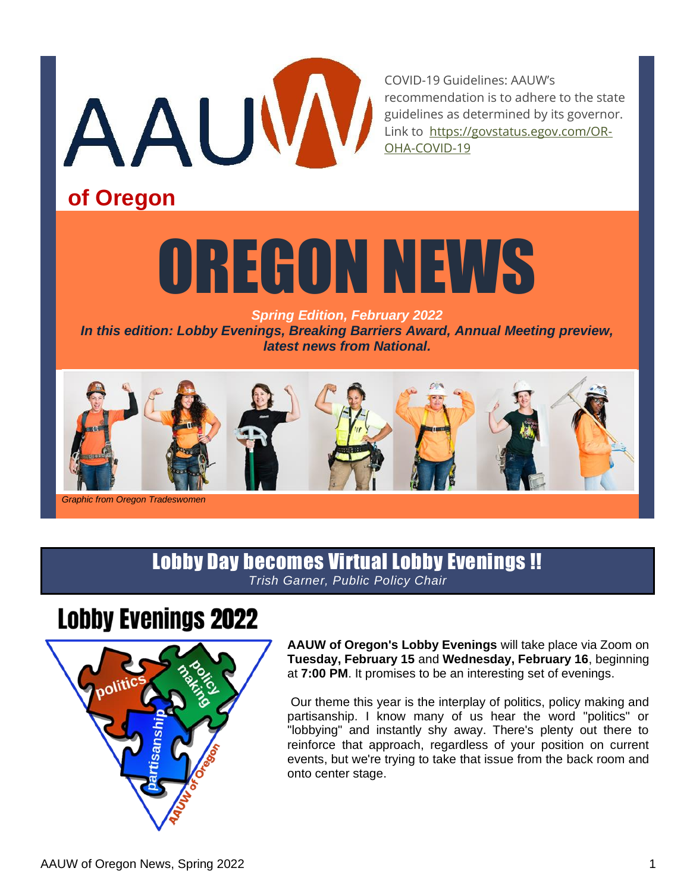

COVID-19 Guidelines: AAUW's recommendation is to adhere to the state guidelines as determined by its governor. Link to [https://govstatus.egov.com/OR-](about:blank)[OHA-COVID-19](about:blank)

# **of Oregon**

# OREGON NEWS

*Spring Edition, February 2022 In this edition: Lobby Evenings, Breaking Barriers Award, Annual Meeting preview, latest news from National.*



*Graphic from Oregon Tradeswomen*

## Lobby Day becomes Virtual Lobby Evenings !! *Trish Garner, Public Policy Chair*

# **Lobby Evenings 2022**



**AAUW of Oregon's Lobby Evenings** will take place via Zoom on **Tuesday, February 15** and **Wednesday, February 16**, beginning at **7:00 PM**. It promises to be an interesting set of evenings.

Our theme this year is the interplay of politics, policy making and partisanship. I know many of us hear the word "politics" or "lobbying" and instantly shy away. There's plenty out there to reinforce that approach, regardless of your position on current events, but we're trying to take that issue from the back room and onto center stage.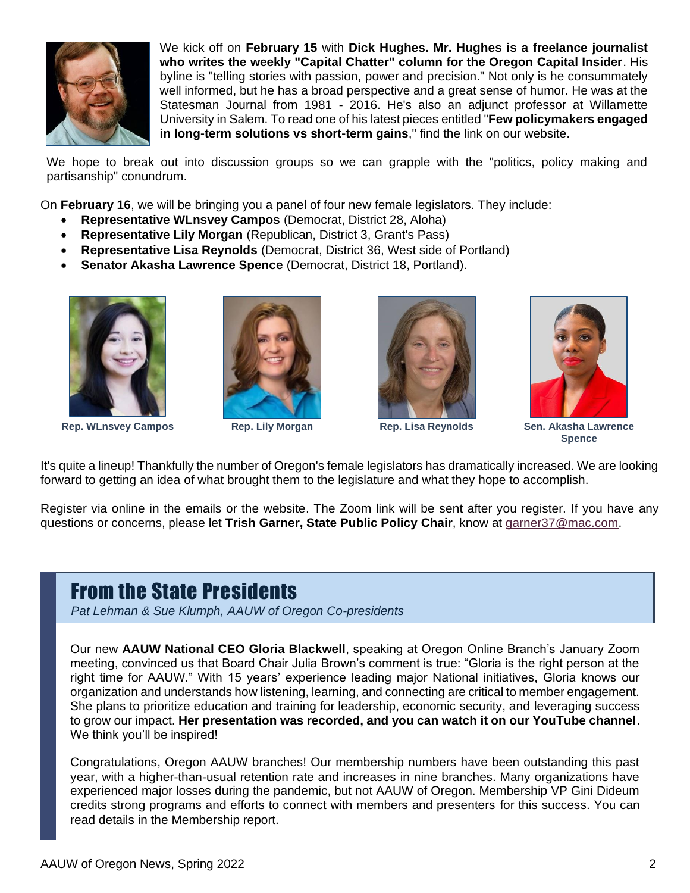

We kick off on **February 15** with **Dick Hughes. Mr. Hughes is a freelance journalist who writes the weekly "Capital Chatter" column for the Oregon Capital Insider**. His byline is "telling stories with passion, power and precision." Not only is he consummately well informed, but he has a broad perspective and a great sense of humor. He was at the Statesman Journal from 1981 - 2016. He's also an adjunct professor at Willamette University in Salem. To read one of his latest pieces entitled "**Few policymakers engaged in long-term solutions vs short-term gains**," find the link on our website.

We hope to break out into discussion groups so we can grapple with the "politics, policy making and partisanship" conundrum.

On **February 16**, we will be bringing you a panel of four new female legislators. They include:

- **Representative WLnsvey Campos** (Democrat, District 28, Aloha)
- **Representative Lily Morgan** (Republican, District 3, Grant's Pass)
- **Representative Lisa Reynolds** (Democrat, District 36, West side of Portland)
- **Senator Akasha Lawrence Spence** (Democrat, District 18, Portland).



**Rep. WLnsvey Campos Rep. Lily Morgan Rep. Lisa Reynolds Sen. Akasha Lawrence** 







**Spence**

It's quite a lineup! Thankfully the number of Oregon's female legislators has dramatically increased. We are looking forward to getting an idea of what brought them to the legislature and what they hope to accomplish.

Register via online in the emails or the website. The Zoom link will be sent after you register. If you have any questions or concerns, please let **Trish Garner, State Public Policy Chair**, know at [garner37@mac.com.](about:blank)

# From the State Presidents

*Pat Lehman & Sue Klumph, AAUW of Oregon Co-presidents*

Our new **AAUW National CEO Gloria Blackwell**, speaking at Oregon Online Branch's January Zoom meeting, convinced us that Board Chair Julia Brown's comment is true: "Gloria is the right person at the right time for AAUW." With 15 years' experience leading major National initiatives, Gloria knows our organization and understands how listening, learning, and connecting are critical to member engagement. She plans to prioritize education and training for leadership, economic security, and leveraging success to grow our impact. **Her presentation was recorded, and you can watch it on our YouTube channel**. We think you'll be inspired!

Congratulations, Oregon AAUW branches! Our membership numbers have been outstanding this past year, with a higher-than-usual retention rate and increases in nine branches. Many organizations have experienced major losses during the pandemic, but not AAUW of Oregon. Membership VP Gini Dideum credits strong programs and efforts to connect with members and presenters for this success. You can read details in the Membership report.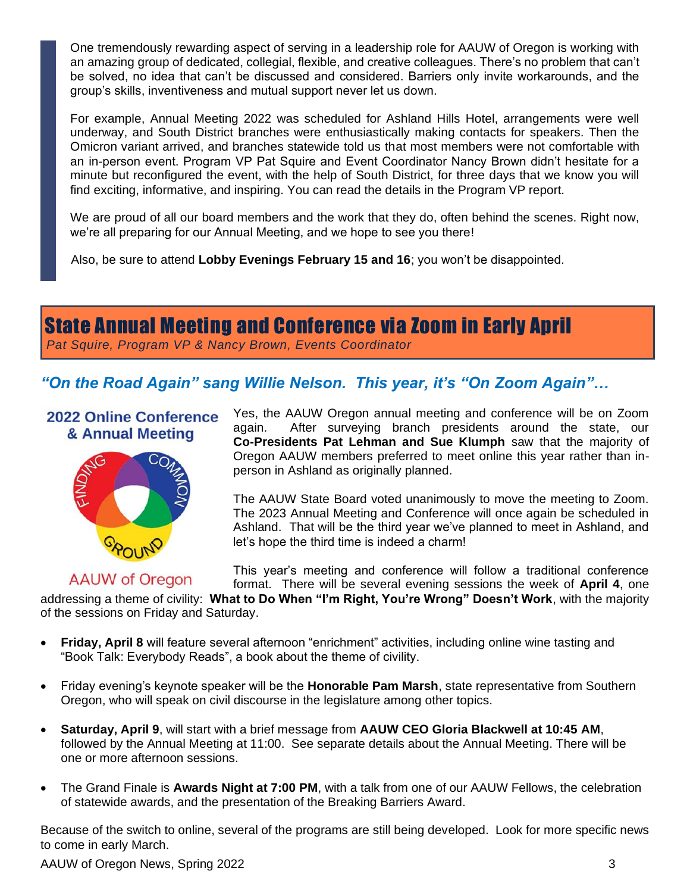One tremendously rewarding aspect of serving in a leadership role for AAUW of Oregon is working with an amazing group of dedicated, collegial, flexible, and creative colleagues. There's no problem that can't be solved, no idea that can't be discussed and considered. Barriers only invite workarounds, and the group's skills, inventiveness and mutual support never let us down.

For example, Annual Meeting 2022 was scheduled for Ashland Hills Hotel, arrangements were well underway, and South District branches were enthusiastically making contacts for speakers. Then the Omicron variant arrived, and branches statewide told us that most members were not comfortable with an in-person event. Program VP Pat Squire and Event Coordinator Nancy Brown didn't hesitate for a minute but reconfigured the event, with the help of South District, for three days that we know you will find exciting, informative, and inspiring. You can read the details in the Program VP report.

We are proud of all our board members and the work that they do, often behind the scenes. Right now, we're all preparing for our Annual Meeting, and we hope to see you there!

Also, be sure to attend **Lobby Evenings February 15 and 16**; you won't be disappointed.

State Annual Meeting and Conference via Zoom in Early April

*Pat Squire, Program VP & Nancy Brown, Events Coordinator*

## *"On the Road Again" sang Willie Nelson. This year, it's "On Zoom Again"…*

2022 Online Conference & Annual Meeting



## **AAUW of Oregon**

Yes, the AAUW Oregon annual meeting and conference will be on Zoom again. After surveying branch presidents around the state, our **Co-Presidents Pat Lehman and Sue Klumph** saw that the majority of Oregon AAUW members preferred to meet online this year rather than inperson in Ashland as originally planned.

The AAUW State Board voted unanimously to move the meeting to Zoom. The 2023 Annual Meeting and Conference will once again be scheduled in Ashland. That will be the third year we've planned to meet in Ashland, and let's hope the third time is indeed a charm!

This year's meeting and conference will follow a traditional conference format. There will be several evening sessions the week of **April 4**, one

addressing a theme of civility: **What to Do When "I'm Right, You're Wrong" Doesn't Work**, with the majority of the sessions on Friday and Saturday.

- **Friday, April 8** will feature several afternoon "enrichment" activities, including online wine tasting and "Book Talk: Everybody Reads", a book about the theme of civility.
- Friday evening's keynote speaker will be the **Honorable Pam Marsh**, state representative from Southern Oregon, who will speak on civil discourse in the legislature among other topics.
- **Saturday, April 9**, will start with a brief message from **AAUW CEO Gloria Blackwell at 10:45 AM**, followed by the Annual Meeting at 11:00. See separate details about the Annual Meeting. There will be one or more afternoon sessions.
- The Grand Finale is **Awards Night at 7:00 PM**, with a talk from one of our AAUW Fellows, the celebration of statewide awards, and the presentation of the Breaking Barriers Award.

Because of the switch to online, several of the programs are still being developed. Look for more specific news to come in early March.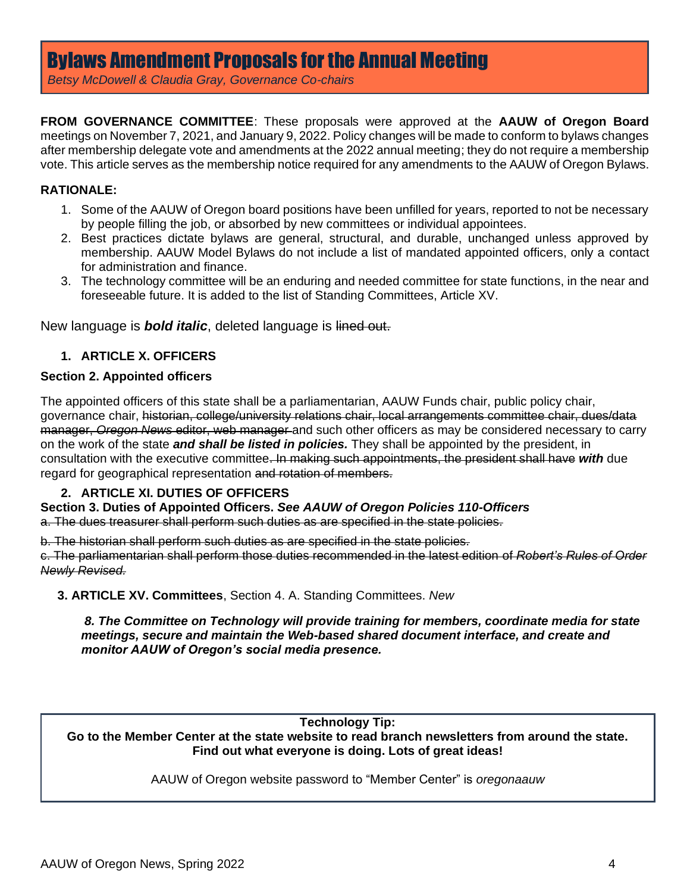*Betsy McDowell & Claudia Gray, Governance Co-chairs*

**FROM GOVERNANCE COMMITTEE**: These proposals were approved at the **AAUW of Oregon Board** meetings on November 7, 2021, and January 9, 2022. Policy changes will be made to conform to bylaws changes after membership delegate vote and amendments at the 2022 annual meeting; they do not require a membership vote. This article serves as the membership notice required for any amendments to the AAUW of Oregon Bylaws.

#### **RATIONALE:**

- 1. Some of the AAUW of Oregon board positions have been unfilled for years, reported to not be necessary by people filling the job, or absorbed by new committees or individual appointees.
- 2. Best practices dictate bylaws are general, structural, and durable, unchanged unless approved by membership. AAUW Model Bylaws do not include a list of mandated appointed officers, only a contact for administration and finance.
- 3. The technology committee will be an enduring and needed committee for state functions, in the near and foreseeable future. It is added to the list of Standing Committees, Article XV.

New language is *bold italic*, deleted language is lined out.

#### **1. ARTICLE X. OFFICERS**

#### **Section 2. Appointed officers**

The appointed officers of this state shall be a parliamentarian, AAUW Funds chair, public policy chair, governance chair, historian, college/university relations chair, local arrangements committee chair, dues/data manager, *Oregon News* editor, web manager and such other officers as may be considered necessary to carry on the work of the state *and shall be listed in policies.* They shall be appointed by the president, in consultation with the executive committee. In making such appointments, the president shall have *with* due regard for geographical representation and rotation of members.

#### **2. ARTICLE XI. DUTIES OF OFFICERS**

**Section 3. Duties of Appointed Officers.** *See AAUW of Oregon Policies 110-Officers* a. The dues treasurer shall perform such duties as are specified in the state policies.

b. The historian shall perform such duties as are specified in the state policies.

c. The parliamentarian shall perform those duties recommended in the latest edition of *Robert's Rules of Order Newly Revised.*

 **3. ARTICLE XV. Committees**, Section 4. A. Standing Committees. *New*

*8. The Committee on Technology will provide training for members, coordinate media for state meetings, secure and maintain the Web-based shared document interface, and create and monitor AAUW of Oregon's social media presence.*

**Technology Tip:** 

**Go to the Member Center at the state website to read branch newsletters from around the state. Find out what everyone is doing. Lots of great ideas!**

AAUW of Oregon website password to "Member Center" is *oregonaauw*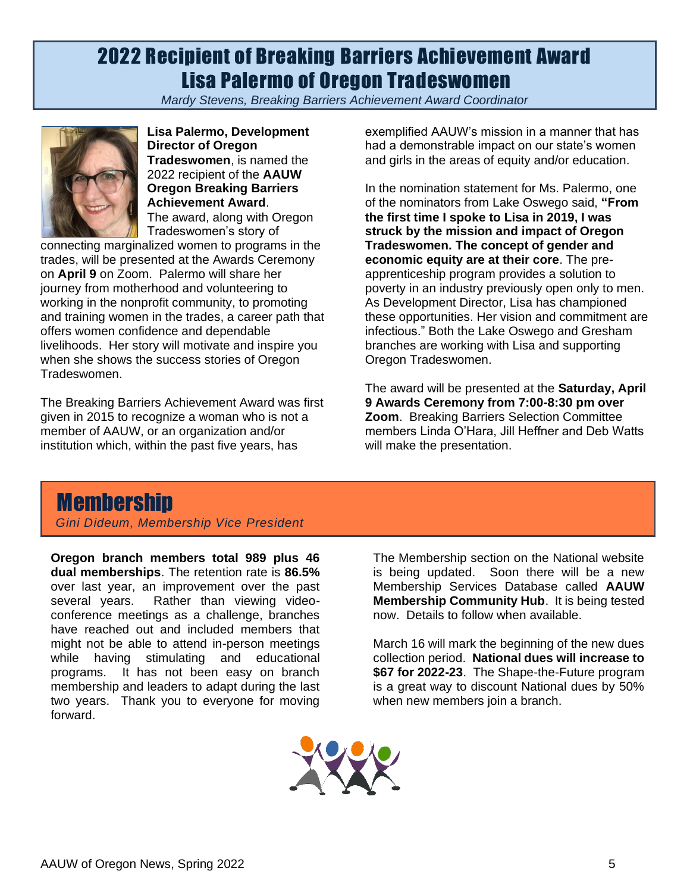# 2022 Recipient of Breaking Barriers Achievement Award Lisa Palermo of Oregon Tradeswomen

*Mardy Stevens, Breaking Barriers Achievement Award Coordinator*



**Lisa Palermo, Development Director of Oregon Tradeswomen**, is named the 2022 recipient of the **AAUW Oregon Breaking Barriers Achievement Award**. The award, along with Oregon Tradeswomen's story of

connecting marginalized women to programs in the trades, will be presented at the Awards Ceremony on **April 9** on Zoom. Palermo will share her journey from motherhood and volunteering to working in the nonprofit community, to promoting and training women in the trades, a career path that offers women confidence and dependable livelihoods. Her story will motivate and inspire you when she shows the success stories of Oregon Tradeswomen.

The Breaking Barriers Achievement Award was first given in 2015 to recognize a woman who is not a member of AAUW, or an organization and/or institution which, within the past five years, has

exemplified AAUW's mission in a manner that has had a demonstrable impact on our state's women and girls in the areas of equity and/or education.

In the nomination statement for Ms. Palermo, one of the nominators from Lake Oswego said, **"From the first time I spoke to Lisa in 2019, I was struck by the mission and impact of Oregon Tradeswomen. The concept of gender and economic equity are at their core**. The preapprenticeship program provides a solution to poverty in an industry previously open only to men. As Development Director, Lisa has championed these opportunities. Her vision and commitment are infectious." Both the Lake Oswego and Gresham branches are working with Lisa and supporting Oregon Tradeswomen.

The award will be presented at the **Saturday, April 9 Awards Ceremony from 7:00-8:30 pm over Zoom**. Breaking Barriers Selection Committee members Linda O'Hara, Jill Heffner and Deb Watts will make the presentation.

# **Membership**

*Gini Dideum, Membership Vice President*

**Oregon branch members total 989 plus 46 dual memberships**. The retention rate is **86.5%** over last year, an improvement over the past several years. Rather than viewing videoconference meetings as a challenge, branches have reached out and included members that might not be able to attend in-person meetings while having stimulating and educational programs. It has not been easy on branch membership and leaders to adapt during the last two years. Thank you to everyone for moving forward.

The Membership section on the National website is being updated. Soon there will be a new Membership Services Database called **AAUW Membership Community Hub**. It is being tested now. Details to follow when available.

March 16 will mark the beginning of the new dues collection period. **National dues will increase to \$67 for 2022-23**. The Shape-the-Future program is a great way to discount National dues by 50% when new members join a branch.

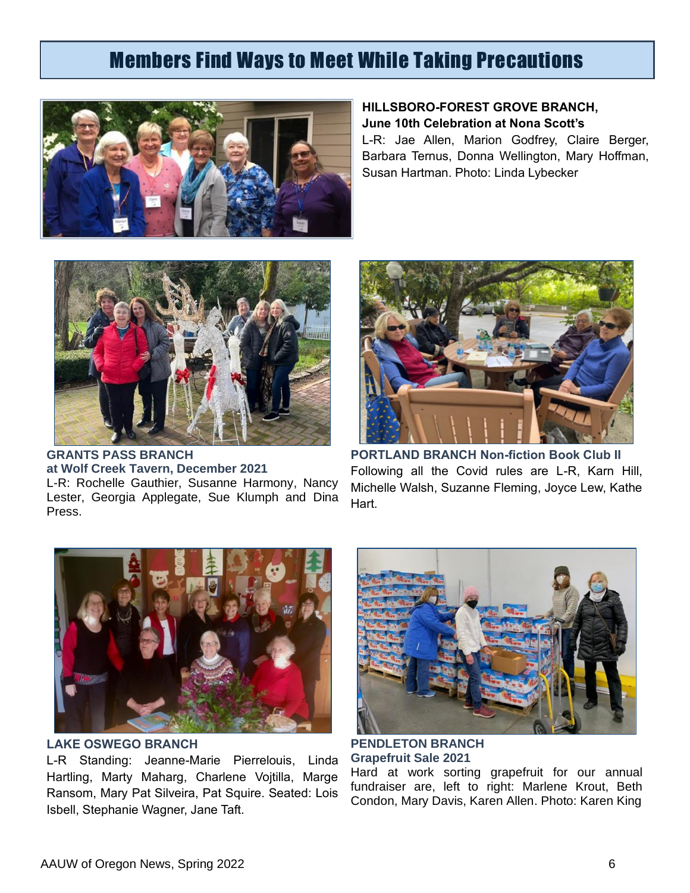# Members Find Ways to Meet While Taking Precautions



### **HILLSBORO-FOREST GROVE BRANCH, June 10th Celebration at Nona Scott's**

L-R: Jae Allen, Marion Godfrey, Claire Berger, Barbara Ternus, Donna Wellington, Mary Hoffman, Susan Hartman. Photo: Linda Lybecker



**GRANTS PASS BRANCH at Wolf Creek Tavern, December 2021** L-R: Rochelle Gauthier, Susanne Harmony, Nancy Lester, Georgia Applegate, Sue Klumph and Dina Press.



**PORTLAND BRANCH Non-fiction Book Club II** Following all the Covid rules are L-R, Karn Hill, Michelle Walsh, Suzanne Fleming, Joyce Lew, Kathe Hart.



**LAKE OSWEGO BRANCH**

L-R Standing: Jeanne-Marie Pierrelouis, Linda Hartling, Marty Maharg, Charlene Vojtilla, Marge Ransom, Mary Pat Silveira, Pat Squire. Seated: Lois Isbell, Stephanie Wagner, Jane Taft.



**PENDLETON BRANCH Grapefruit Sale 2021**

Hard at work sorting grapefruit for our annual fundraiser are, left to right: Marlene Krout, Beth Condon, Mary Davis, Karen Allen. Photo: Karen King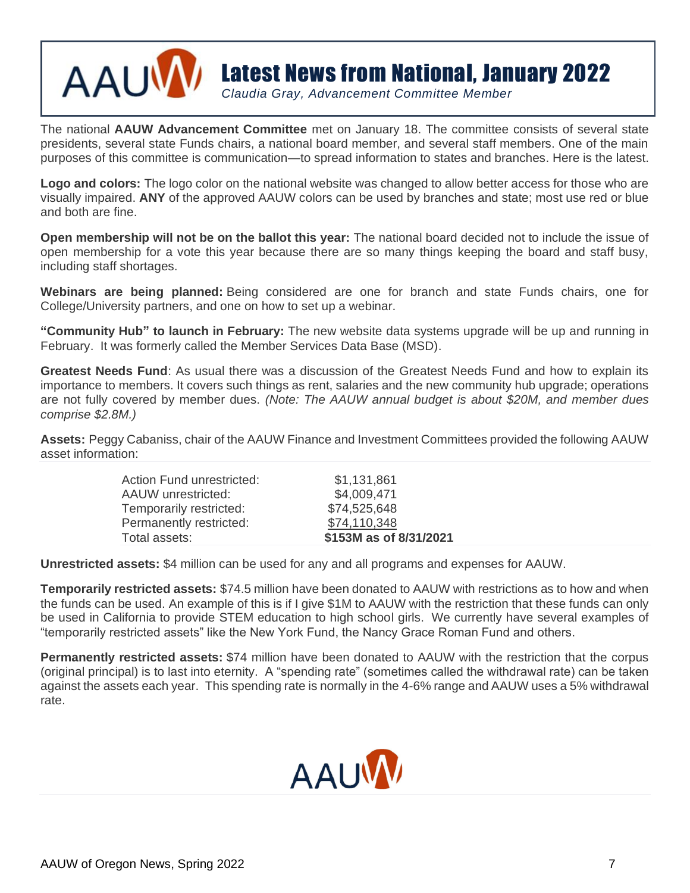

# Latest News from National, January 2022

*Claudia Gray, Advancement Committee Member*

The national **AAUW Advancement Committee** met on January 18. The committee consists of several state presidents, several state Funds chairs, a national board member, and several staff members. One of the main purposes of this committee is communication—to spread information to states and branches. Here is the latest.

**Logo and colors:** The logo color on the national website was changed to allow better access for those who are visually impaired. **ANY** of the approved AAUW colors can be used by branches and state; most use red or blue and both are fine.

**Open membership will not be on the ballot this year:** The national board decided not to include the issue of open membership for a vote this year because there are so many things keeping the board and staff busy, including staff shortages.

**Webinars are being planned:** Being considered are one for branch and state Funds chairs, one for College/University partners, and one on how to set up a webinar.

**"Community Hub" to launch in February:** The new website data systems upgrade will be up and running in February. It was formerly called the Member Services Data Base (MSD).

**Greatest Needs Fund**: As usual there was a discussion of the Greatest Needs Fund and how to explain its importance to members. It covers such things as rent, salaries and the new community hub upgrade; operations are not fully covered by member dues. *(Note: The AAUW annual budget is about \$20M, and member dues comprise \$2.8M.)*

**Assets:** Peggy Cabaniss, chair of the AAUW Finance and Investment Committees provided the following AAUW asset information:

| Action Fund unrestricted: | \$1,131,861            |
|---------------------------|------------------------|
| AAUW unrestricted:        | \$4,009,471            |
| Temporarily restricted:   | \$74,525,648           |
| Permanently restricted:   | \$74,110,348           |
| Total assets:             | \$153M as of 8/31/2021 |
|                           |                        |

**Unrestricted assets:** \$4 million can be used for any and all programs and expenses for AAUW.

**Temporarily restricted assets:** \$74.5 million have been donated to AAUW with restrictions as to how and when the funds can be used. An example of this is if I give \$1M to AAUW with the restriction that these funds can only be used in California to provide STEM education to high school girls. We currently have several examples of "temporarily restricted assets" like the New York Fund, the Nancy Grace Roman Fund and others.

**Permanently restricted assets:** \$74 million have been donated to AAUW with the restriction that the corpus (original principal) is to last into eternity. A "spending rate" (sometimes called the withdrawal rate) can be taken against the assets each year. This spending rate is normally in the 4-6% range and AAUW uses a 5% withdrawal rate.